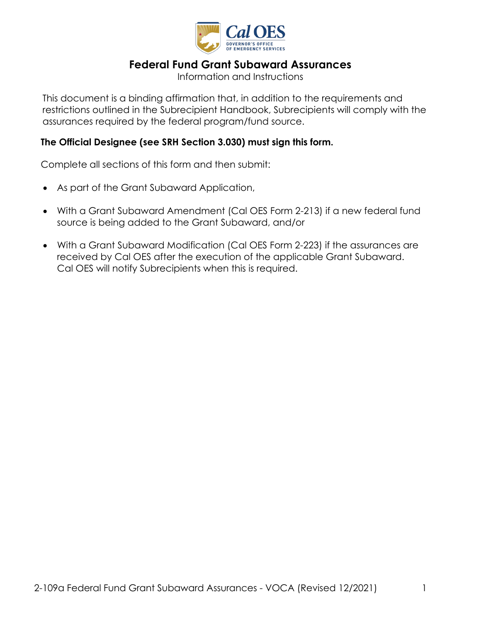

# **Federal Fund Grant Subaward Assurances**

Information and Instructions

 This document is a binding affirmation that, in addition to the requirements and restrictions outlined in the Subrecipient Handbook, Subrecipients will comply with the assurances required by the federal program/fund source.

### **The Official Designee (see SRH Section 3.030) must sign this form.**

Complete all sections of this form and then submit:

- As part of the Grant Subaward Application,
- source is being added to the Grant Subaward, and/or • With a Grant Subaward Amendment (Cal OES Form 2-213) if a new federal fund
- With a Grant Subaward Modification (Cal OES Form 2-223) if the assurances are received by Cal OES after the execution of the applicable Grant Subaward. Cal OES will notify Subrecipients when this is required.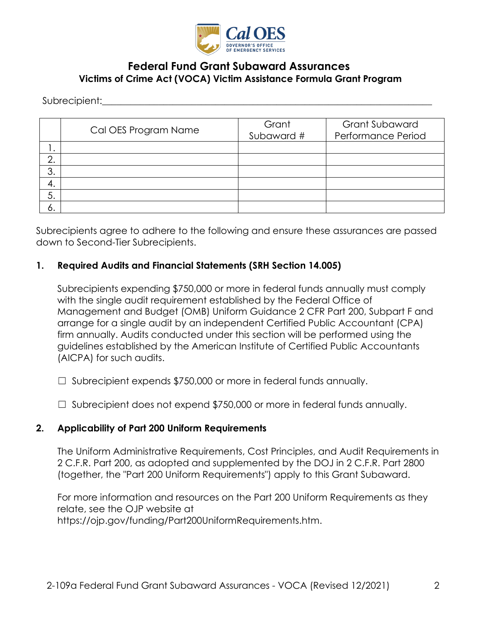

# **Federal Fund Grant Subaward Assurances Victims of Crime Act (VOCA) Victim Assistance Formula Grant Program**

Subrecipient: where  $\sim$ 

|         | Cal OES Program Name | Grant<br>Subaward # | <b>Grant Subaward</b><br>Performance Period |
|---------|----------------------|---------------------|---------------------------------------------|
| . ا     |                      |                     |                                             |
| ∩<br>z. |                      |                     |                                             |
| 3.      |                      |                     |                                             |
| 4.      |                      |                     |                                             |
| 5.      |                      |                     |                                             |
| O.      |                      |                     |                                             |

Subrecipients agree to adhere to the following and ensure these assurances are passed down to Second-Tier Subrecipients.

#### **1. Required Audits and Financial Statements (SRH Section 14.005)**

 Subrecipients expending \$750,000 or more in federal funds annually must comply with the single audit requirement established by the Federal Office of Management and Budget (OMB) Uniform Guidance 2 CFR Part 200, Subpart F and arrange for a single audit by an independent Certified Public Accountant (CPA) firm annually. Audits conducted under this section will be performed using the guidelines established by the American Institute of Certified Public Accountants (AICPA) for such audits.

☐ Subrecipient expends \$750,000 or more in federal funds annually.

 $\Box$  Subrecipient does not expend \$750,000 or more in federal funds annually.

#### **2. Applicability of Part 200 Uniform Requirements**

The Uniform Administrative Requirements, Cost Principles, and Audit Requirements in 2 C.F.R. Part 200, as adopted and supplemented by the DOJ in 2 C.F.R. Part 2800 (together, the "Part 200 Uniform Requirements") apply to this Grant Subaward.

For more information and resources on the Part 200 Uniform Requirements as they relate, see the OJP website at [https://ojp.gov/funding/Part200UniformRequirements.htm.](https://ojp.gov/funding/Part200UniformRequirements.htm)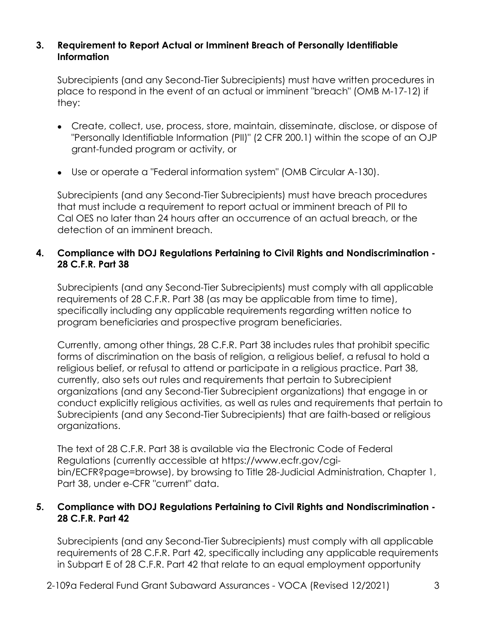#### **3. Requirement to Report Actual or Imminent Breach of Personally Identifiable Information**

Subrecipients (and any Second-Tier Subrecipients) must have written procedures in place to respond in the event of an actual or imminent "breach" (OMB M-17-12) if they:

- Create, collect, use, process, store, maintain, disseminate, disclose, or dispose of "Personally Identifiable Information (PII)" (2 CFR 200.1) within the scope of an OJP grant-funded program or activity, or
- Use or operate a "Federal information system" (OMB Circular A-130).

Subrecipients (and any Second-Tier Subrecipients) must have breach procedures that must include a requirement to report actual or imminent breach of PII to Cal OES no later than 24 hours after an occurrence of an actual breach, or the detection of an imminent breach.

### **4. Compliance with DOJ Regulations Pertaining to Civil Rights and Nondiscrimination - 28 C.F.R. Part 38**

Subrecipients (and any Second-Tier Subrecipients) must comply with all applicable requirements of 28 C.F.R. Part 38 (as may be applicable from time to time), specifically including any applicable requirements regarding written notice to program beneficiaries and prospective program beneficiaries.

Currently, among other things, 28 C.F.R. Part 38 includes rules that prohibit specific forms of discrimination on the basis of religion, a religious belief, a refusal to hold a religious belief, or refusal to attend or participate in a religious practice. Part 38, currently, also sets out rules and requirements that pertain to Subrecipient organizations (and any Second-Tier Subrecipient organizations) that engage in or conduct explicitly religious activities, as well as rules and requirements that pertain to Subrecipients (and any Second-Tier Subrecipients) that are faith-based or religious organizations.

The text of 28 C.F.R. Part 38 is available via the Electronic Code of Federal Regulations (currently accessible at<https://www.ecfr.gov/cgi>bin/ECFR?page=browse), by browsing to Title 28-Judicial Administration, Chapter 1, Part 38, under e-CFR "current" data.

### **5. Compliance with DOJ Regulations Pertaining to Civil Rights and Nondiscrimination - 28 C.F.R. Part 42**

Subrecipients (and any Second-Tier Subrecipients) must comply with all applicable requirements of 28 C.F.R. Part 42, specifically including any applicable requirements in Subpart E of 28 C.F.R. Part 42 that relate to an equal employment opportunity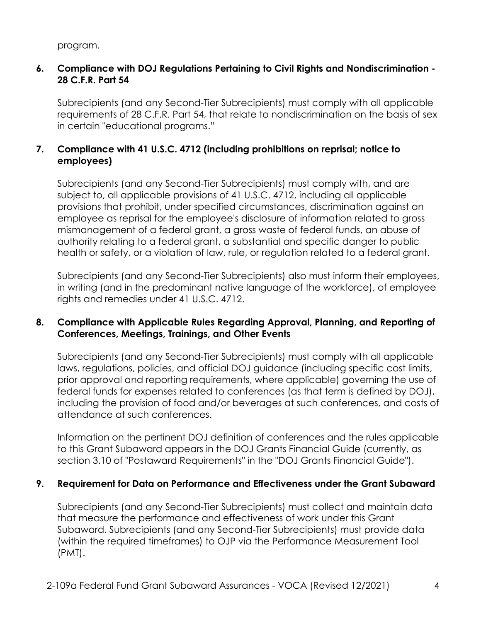program.

### **6. Compliance with DOJ Regulations Pertaining to Civil Rights and Nondiscrimination - 28 C.F.R. Part 54**

Subrecipients (and any Second-Tier Subrecipients) must comply with all applicable requirements of 28 C.F.R. Part 54, that relate to nondiscrimination on the basis of sex in certain "educational programs."

# **7. Compliance with 41 U.S.C. 4712 (including prohibitions on reprisal; notice to employees)**

Subrecipients (and any Second-Tier Subrecipients) must comply with, and are subject to, all applicable provisions of 41 U.S.C. 4712, including all applicable provisions that prohibit, under specified circumstances, discrimination against an employee as reprisal for the employee's disclosure of information related to gross mismanagement of a federal grant, a gross waste of federal funds, an abuse of authority relating to a federal grant, a substantial and specific danger to public health or safety, or a violation of law, rule, or regulation related to a federal grant.

 Subrecipients (and any Second-Tier Subrecipients) also must inform their employees, in writing (and in the predominant native language of the workforce), of employee rights and remedies under 41 U.S.C. 4712.

#### **8. Compliance with Applicable Rules Regarding Approval, Planning, and Reporting of Conferences, Meetings, Trainings, and Other Events**

 laws, regulations, policies, and official DOJ guidance (including specific cost limits, Subrecipients (and any Second-Tier Subrecipients) must comply with all applicable prior approval and reporting requirements, where applicable) governing the use of federal funds for expenses related to conferences (as that term is defined by DOJ), including the provision of food and/or beverages at such conferences, and costs of attendance at such conferences.

 to this Grant Subaward appears in the DOJ Grants Financial Guide (currently, as Information on the pertinent DOJ definition of conferences and the rules applicable section 3.10 of "Postaward Requirements" in the "DOJ Grants Financial Guide").

#### **9. Requirement for Data on Performance and Effectiveness under the Grant Subaward**

Subrecipients (and any Second-Tier Subrecipients) must collect and maintain data that measure the performance and effectiveness of work under this Grant Subaward. Subrecipients (and any Second-Tier Subrecipients) must provide data (within the required timeframes) to OJP via the Performance Measurement Tool (PMT).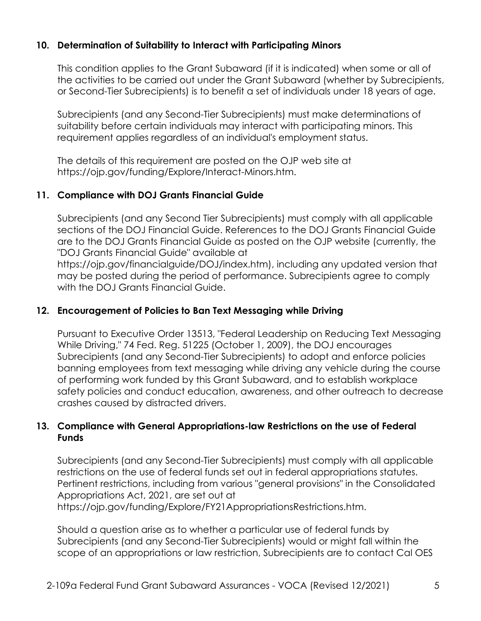# **10. Determination of Suitability to Interact with Participating Minors**

This condition applies to the Grant Subaward (if it is indicated) when some or all of the activities to be carried out under the Grant Subaward (whether by Subrecipients, or Second-Tier Subrecipients) is to benefit a set of individuals under 18 years of age.

 Subrecipients (and any Second-Tier Subrecipients) must make determinations of suitability before certain individuals may interact with participating minors. This requirement applies regardless of an individual's employment status.

The details of this requirement are posted on the OJP web site at <https://ojp.gov/funding/Explore/Interact-Minors.htm>.

### **11. Compliance with DOJ Grants Financial Guide**

Subrecipients (and any Second Tier Subrecipients) must comply with all applicable sections of the DOJ Financial Guide. References to the DOJ Grants Financial Guide are to the DOJ Grants Financial Guide as posted on the OJP website (currently, the "DOJ Grants Financial Guide" available at

<https://ojp.gov/financialguide/DOJ/index.htm>), including any updated version that may be posted during the period of performance. Subrecipients agree to comply with the DOJ Grants Financial Guide.

# **12. Encouragement of Policies to Ban Text Messaging while Driving**

 of performing work funded by this Grant Subaward, and to establish workplace Pursuant to Executive Order 13513, "Federal Leadership on Reducing Text Messaging While Driving," 74 Fed. Reg. 51225 (October 1, 2009), the DOJ encourages Subrecipients (and any Second-Tier Subrecipients) to adopt and enforce policies banning employees from text messaging while driving any vehicle during the course safety policies and conduct education, awareness, and other outreach to decrease crashes caused by distracted drivers.

### **13. Compliance with General Appropriations-law Restrictions on the use of Federal Funds**

Subrecipients (and any Second-Tier Subrecipients) must comply with all applicable restrictions on the use of federal funds set out in federal appropriations statutes. Pertinent restrictions, including from various "general provisions" in the Consolidated Appropriations Act, 2021, are set out at <https://ojp.gov/funding/Explore/FY21AppropriationsRestrictions.htm>.

 Should a question arise as to whether a particular use of federal funds by Subrecipients (and any Second-Tier Subrecipients) would or might fall within the scope of an appropriations or law restriction, Subrecipients are to contact Cal OES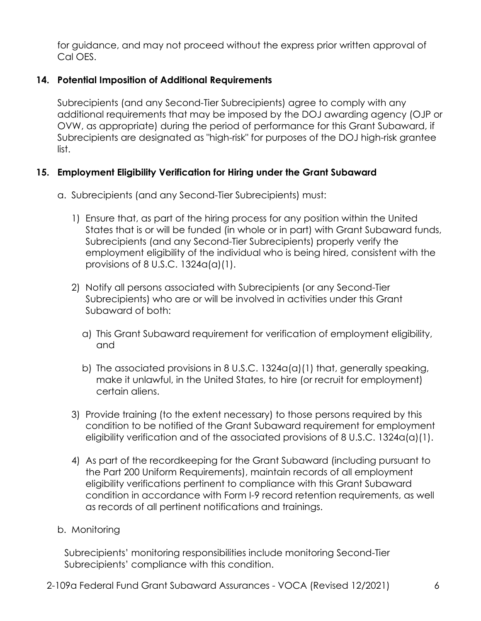for guidance, and may not proceed without the express prior written approval of Cal OES.

### **14. Potential Imposition of Additional Requirements**

 Subrecipients (and any Second-Tier Subrecipients) agree to comply with any additional requirements that may be imposed by the DOJ awarding agency (OJP or OVW, as appropriate) during the period of performance for this Grant Subaward, if Subrecipients are designated as "high-risk" for purposes of the DOJ high-risk grantee list.

### **15. Employment Eligibility Verification for Hiring under the Grant Subaward**

- a. Subrecipients (and any Second-Tier Subrecipients) must:
	- 1) Ensure that, as part of the hiring process for any position within the United States that is or will be funded (in whole or in part) with Grant Subaward funds, Subrecipients (and any Second-Tier Subrecipients) properly verify the employment eligibility of the individual who is being hired, consistent with the provisions of 8 U.S.C. 1324a(a)(1).
	- 2) Notify all persons associated with Subrecipients (or any Second-Tier Subrecipients) who are or will be involved in activities under this Grant Subaward of both:
		- a) This Grant Subaward requirement for verification of employment eligibility, and
		- b) The associated provisions in 8 U.S.C. 1324a(a)(1) that, generally speaking, make it unlawful, in the United States, to hire (or recruit for employment) certain aliens.
	- 3) Provide training (to the extent necessary) to those persons required by this condition to be notified of the Grant Subaward requirement for employment eligibility verification and of the associated provisions of 8 U.S.C. 1324a(a)(1).
	- 4) As part of the recordkeeping for the Grant Subaward (including pursuant to the Part 200 Uniform Requirements), maintain records of all employment eligibility verifications pertinent to compliance with this Grant Subaward condition in accordance with Form I-9 record retention requirements, as well as records of all pertinent notifications and trainings.
- b. Monitoring

Subrecipients' monitoring responsibilities include monitoring Second-Tier Subrecipients' compliance with this condition.

2-109a Federal Fund Grant Subaward Assurances - VOCA (Revised 12/2021) 6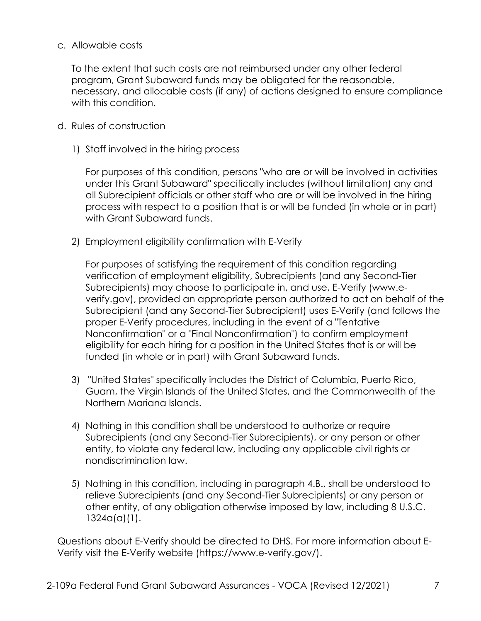#### c. Allowable costs

To the extent that such costs are not reimbursed under any other federal program, Grant Subaward funds may be obligated for the reasonable, necessary, and allocable costs (if any) of actions designed to ensure compliance with this condition.

- d. Rules of construction
	- 1) Staff involved in the hiring process

For purposes of this condition, persons "who are or will be involved in activities under this Grant Subaward" specifically includes (without limitation) any and all Subrecipient officials or other staff who are or will be involved in the hiring process with respect to a position that is or will be funded (in whole or in part) with Grant Subaward funds.

2) Employment eligibility confirmation with E-Verify

For purposes of satisfying the requirement of this condition regarding verification of employment eligibility, Subrecipients (and any Second-Tier Subrecipients) may choose to participate in, and use, E-Verify (www.e[verify.gov\)](https://verify.gov), provided an appropriate person authorized to act on behalf of the Subrecipient (and any Second-Tier Subrecipient) uses E-Verify (and follows the proper E-Verify procedures, including in the event of a "Tentative Nonconfirmation" or a "Final Nonconfirmation") to confirm employment eligibility for each hiring for a position in the United States that is or will be funded (in whole or in part) with Grant Subaward funds.

- Northern Mariana Islands. 3) "United States" specifically includes the District of Columbia, Puerto Rico, Guam, the Virgin Islands of the United States, and the Commonwealth of the
- Subrecipients (and any Second-Tier Subrecipients), or any person or other 4) Nothing in this condition shall be understood to authorize or require entity, to violate any federal law, including any applicable civil rights or nondiscrimination law.
- 5) Nothing in this condition, including in paragraph 4.B., shall be understood to relieve Subrecipients (and any Second-Tier Subrecipients) or any person or other entity, of any obligation otherwise imposed by law, including 8 U.S.C. 1324a(a)(1).

Verify visit the E-Verify website (https://www.e-verify.gov/). Questions about E-Verify should be directed to DHS. For more information about E-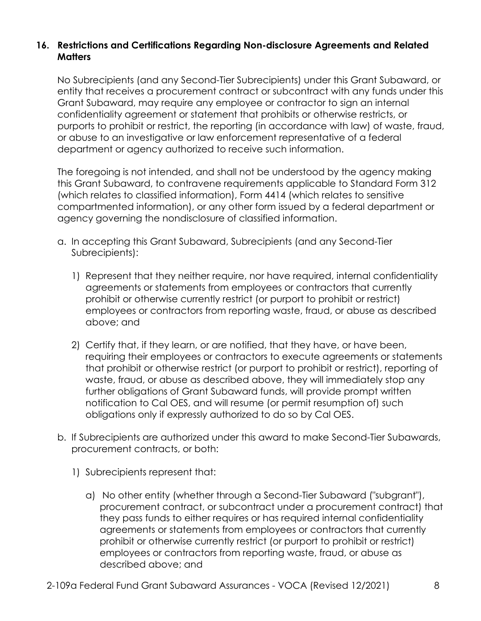### **16. Restrictions and Certifications Regarding Non-disclosure Agreements and Related Matters**

 purports to prohibit or restrict, the reporting (in accordance with law) of waste, fraud, No Subrecipients (and any Second-Tier Subrecipients) under this Grant Subaward, or entity that receives a procurement contract or subcontract with any funds under this Grant Subaward, may require any employee or contractor to sign an internal confidentiality agreement or statement that prohibits or otherwise restricts, or or abuse to an investigative or law enforcement representative of a federal department or agency authorized to receive such information.

The foregoing is not intended, and shall not be understood by the agency making this Grant Subaward, to contravene requirements applicable to Standard Form 312 (which relates to classified information), Form 4414 (which relates to sensitive compartmented information), or any other form issued by a federal department or agency governing the nondisclosure of classified information.

- a. In accepting this Grant Subaward, Subrecipients (and any Second-Tier Subrecipients):
	- 1) Represent that they neither require, nor have required, internal confidentiality agreements or statements from employees or contractors that currently prohibit or otherwise currently restrict (or purport to prohibit or restrict) employees or contractors from reporting waste, fraud, or abuse as described above; and
	- 2) Certify that, if they learn, or are notified, that they have, or have been, requiring their employees or contractors to execute agreements or statements that prohibit or otherwise restrict (or purport to prohibit or restrict), reporting of waste, fraud, or abuse as described above, they will immediately stop any further obligations of Grant Subaward funds, will provide prompt written notification to Cal OES, and will resume (or permit resumption of) such obligations only if expressly authorized to do so by Cal OES.
- b. If Subrecipients are authorized under this award to make Second-Tier Subawards, procurement contracts, or both:
	- 1) Subrecipients represent that:
		- a) No other entity (whether through a Second-Tier Subaward ("subgrant"), procurement contract, or subcontract under a procurement contract) that they pass funds to either requires or has required internal confidentiality agreements or statements from employees or contractors that currently prohibit or otherwise currently restrict (or purport to prohibit or restrict) employees or contractors from reporting waste, fraud, or abuse as described above; and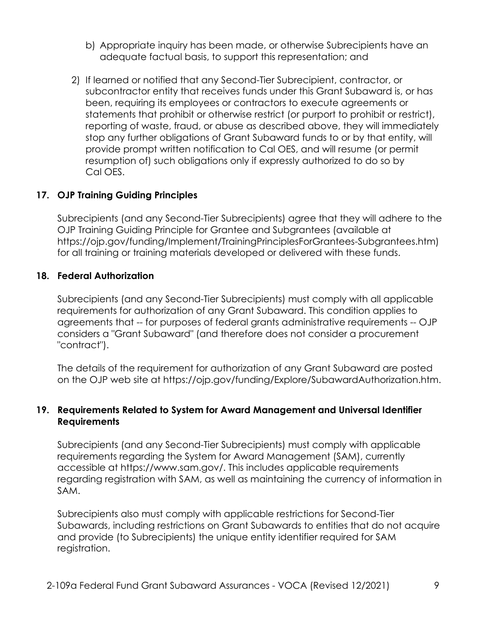- b) Appropriate inquiry has been made, or otherwise Subrecipients have an adequate factual basis, to support this representation; and
- subcontractor entity that receives funds under this Grant Subaward is, or has 2) If learned or notified that any Second-Tier Subrecipient, contractor, or been, requiring its employees or contractors to execute agreements or statements that prohibit or otherwise restrict (or purport to prohibit or restrict), reporting of waste, fraud, or abuse as described above, they will immediately stop any further obligations of Grant Subaward funds to or by that entity, will provide prompt written notification to Cal OES, and will resume (or permit resumption of) such obligations only if expressly authorized to do so by Cal OES.

### **17. OJP Training Guiding Principles**

Subrecipients (and any Second-Tier Subrecipients) agree that they will adhere to the OJP Training Guiding Principle for Grantee and Subgrantees (available at [https://ojp.gov/funding/Implement/TrainingPrinciplesForGrantees-Subgrantees.htm\)](https://ojp.gov/funding/Implement/TrainingPrinciplesForGrantees-Subgrantees.htm) for all training or training materials developed or delivered with these funds.

#### **18. Federal Authorization**

Subrecipients (and any Second-Tier Subrecipients) must comply with all applicable requirements for authorization of any Grant Subaward. This condition applies to agreements that -- for purposes of federal grants administrative requirements -- OJP considers a "Grant Subaward" (and therefore does not consider a procurement "contract").

The details of the requirement for authorization of any Grant Subaward are posted on the OJP web site at <https://ojp.gov/funding/Explore/SubawardAuthorization.htm>.

#### **19. Requirements Related to System for Award Management and Universal Identifier Requirements**

Subrecipients (and any Second-Tier Subrecipients) must comply with applicable requirements regarding the System for Award Management (SAM), currently accessible at [https://www.sam.gov/](https://www.sam.gov). This includes applicable requirements regarding registration with SAM, as well as maintaining the currency of information in SAM.

 and provide (to Subrecipients) the unique entity identifier required for SAM Subrecipients also must comply with applicable restrictions for Second-Tier Subawards, including restrictions on Grant Subawards to entities that do not acquire registration.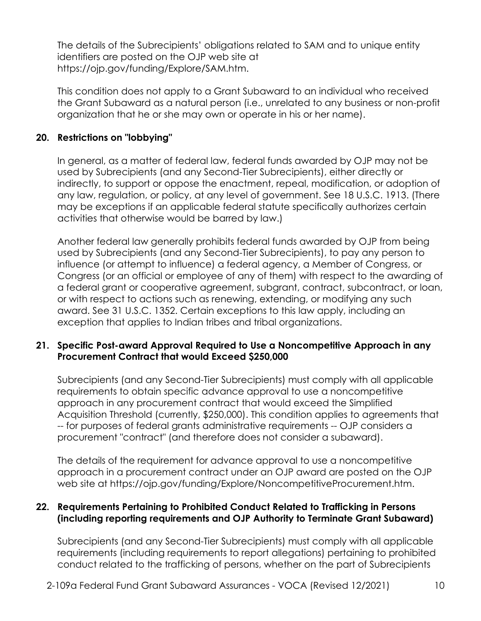The details of the Subrecipients' obligations related to SAM and to unique entity identifiers are posted on the OJP web site at [https://ojp.gov/funding/Explore/SAM.htm.](https://ojp.gov/funding/Explore/SAM.htm)

This condition does not apply to a Grant Subaward to an individual who received the Grant Subaward as a natural person (i.e., unrelated to any business or non-profit organization that he or she may own or operate in his or her name).

### **20. Restrictions on "lobbying"**

 activities that otherwise would be barred by law.) In general, as a matter of federal law, federal funds awarded by OJP may not be used by Subrecipients (and any Second-Tier Subrecipients), either directly or indirectly, to support or oppose the enactment, repeal, modification, or adoption of any law, regulation, or policy, at any level of government. See 18 U.S.C. 1913. (There may be exceptions if an applicable federal statute specifically authorizes certain

Another federal law generally prohibits federal funds awarded by OJP from being used by Subrecipients (and any Second-Tier Subrecipients), to pay any person to influence (or attempt to influence) a federal agency, a Member of Congress, or Congress (or an official or employee of any of them) with respect to the awarding of a federal grant or cooperative agreement, subgrant, contract, subcontract, or loan, or with respect to actions such as renewing, extending, or modifying any such award. See 31 U.S.C. 1352. Certain exceptions to this law apply, including an exception that applies to Indian tribes and tribal organizations.

### **21. Specific Post-award Approval Required to Use a Noncompetitive Approach in any Procurement Contract that would Exceed \$250,000**

 Acquisition Threshold (currently, \$250,000). This condition applies to agreements that Subrecipients (and any Second-Tier Subrecipients) must comply with all applicable requirements to obtain specific advance approval to use a noncompetitive approach in any procurement contract that would exceed the Simplified -- for purposes of federal grants administrative requirements -- OJP considers a procurement "contract" (and therefore does not consider a subaward).

 web site at<https://ojp.gov/funding/Explore/NoncompetitiveProcurement.htm>. The details of the requirement for advance approval to use a noncompetitive approach in a procurement contract under an OJP award are posted on the OJP

### **22. Requirements Pertaining to Prohibited Conduct Related to Trafficking in Persons (including reporting requirements and OJP Authority to Terminate Grant Subaward)**

Subrecipients (and any Second-Tier Subrecipients) must comply with all applicable requirements (including requirements to report allegations) pertaining to prohibited conduct related to the trafficking of persons, whether on the part of Subrecipients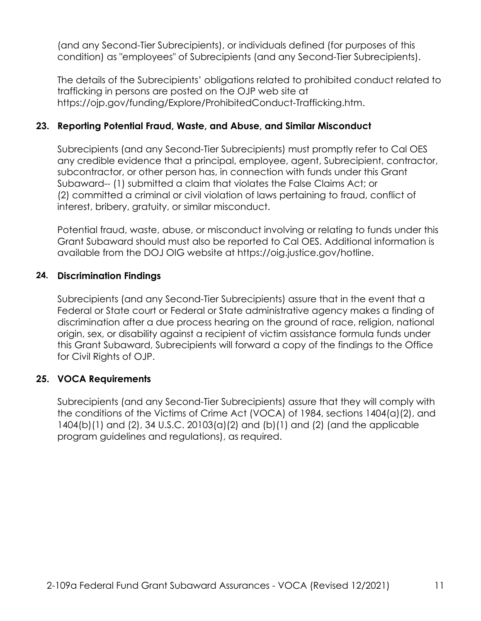(and any Second-Tier Subrecipients), or individuals defined (for purposes of this condition) as "employees" of Subrecipients (and any Second-Tier Subrecipients).

The details of the Subrecipients' obligations related to prohibited conduct related to trafficking in persons are posted on the OJP web site at <https://ojp.gov/funding/Explore/ProhibitedConduct-Trafficking.htm>.

# **23. Reporting Potential Fraud, Waste, and Abuse, and Similar Misconduct**

Subrecipients (and any Second-Tier Subrecipients) must promptly refer to Cal OES any credible evidence that a principal, employee, agent, Subrecipient, contractor, subcontractor, or other person has, in connection with funds under this Grant Subaward-- (1) submitted a claim that violates the False Claims Act; or (2) committed a criminal or civil violation of laws pertaining to fraud, conflict of interest, bribery, gratuity, or similar misconduct.

Potential fraud, waste, abuse, or misconduct involving or relating to funds under this Grant Subaward should must also be reported to Cal OES. Additional information is available from the DOJ OIG website at [https://oig.justice.gov/hotline.](https://oig.justice.gov/hotline)

#### **24. Discrimination Findings**

 Subrecipients (and any Second-Tier Subrecipients) assure that in the event that a Federal or State court or Federal or State administrative agency makes a finding of discrimination after a due process hearing on the ground of race, religion, national origin, sex, or disability against a recipient of victim assistance formula funds under this Grant Subaward, Subrecipients will forward a copy of the findings to the Office for Civil Rights of OJP.

#### **25. VOCA Requirements**

Subrecipients (and any Second-Tier Subrecipients) assure that they will comply with the conditions of the Victims of Crime Act (VOCA) of 1984, sections 1404(a)(2), and 1404(b)(1) and (2), 34 U.S.C. 20103(a)(2) and (b)(1) and (2) (and the applicable program guidelines and regulations), as required.